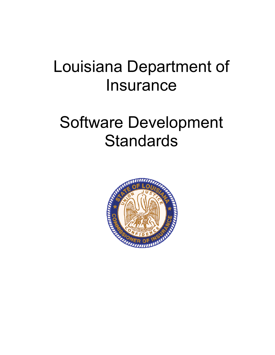# Louisiana Department of **Insurance**

# Software Development **Standards**

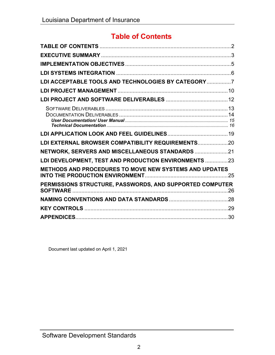## **Table of Contents**

| LDI ACCEPTABLE TOOLS AND TECHNOLOGIES BY CATEGORY 7      |  |
|----------------------------------------------------------|--|
|                                                          |  |
|                                                          |  |
|                                                          |  |
|                                                          |  |
|                                                          |  |
|                                                          |  |
| LDI EXTERNAL BROWSER COMPATIBILITY REQUIREMENTS 20       |  |
|                                                          |  |
| LDI DEVELOPMENT, TEST AND PRODUCTION ENVIRONMENTS 23     |  |
| METHODS AND PROCEDURES TO MOVE NEW SYSTEMS AND UPDATES   |  |
|                                                          |  |
| PERMISSIONS STRUCTURE, PASSWORDS, AND SUPPORTED COMPUTER |  |
|                                                          |  |
|                                                          |  |
|                                                          |  |

Document last updated on April 1, 2021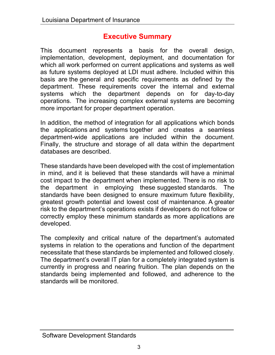## **Executive Summary**

This document represents a basis for the overall design, implementation, development, deployment, and documentation for which all work performed on current applications and systems as well as future systems deployed at LDI must adhere. Included within this basis are the general and specific requirements as defined by the department. These requirements cover the internal and external systems which the department depends on for day-to-day operations. The increasing complex external systems are becoming more important for proper department operation.

In addition, the method of integration for all applications which bonds the applications and systems together and creates a seamless department-wide applications are included within the document. Finally, the structure and storage of all data within the department databases are described.

These standards have been developed with the cost of implementation in mind, and it is believed that these standards will have a minimal cost impact to the department when implemented. There is no risk to the department in employing these suggested standards. The standards have been designed to ensure maximum future flexibility, greatest growth potential and lowest cost of maintenance. A greater risk to the department's operations exists if developers do not follow or correctly employ these minimum standards as more applications are developed.

The complexity and critical nature of the department's automated systems in relation to the operations and function of the department necessitate that these standards be implemented and followed closely. The department's overall IT plan for a completely integrated system is currently in progress and nearing fruition. The plan depends on the standards being implemented and followed, and adherence to the standards will be monitored.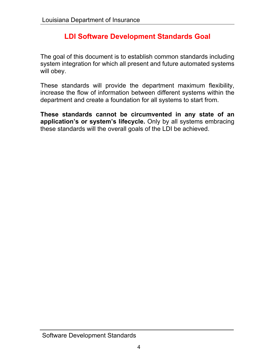## **LDI Software Development Standards Goal**

The goal of this document is to establish common standards including system integration for which all present and future automated systems will obey.

These standards will provide the department maximum flexibility, increase the flow of information between different systems within the department and create a foundation for all systems to start from.

**These standards cannot be circumvented in any state of an application's or system's lifecycle.** Only by all systems embracing these standards will the overall goals of the LDI be achieved.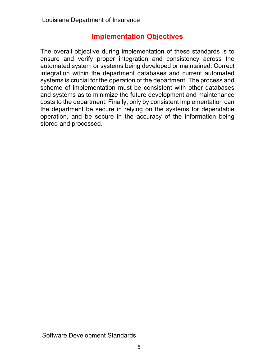### **Implementation Objectives**

The overall objective during implementation of these standards is to ensure and verify proper integration and consistency across the automated system or systems being developed or maintained. Correct integration within the department databases and current automated systems is crucial for the operation of the department. The process and scheme of implementation must be consistent with other databases and systems as to minimize the future development and maintenance costs to the department. Finally, only by consistent implementation can the department be secure in relying on the systems for dependable operation, and be secure in the accuracy of the information being stored and processed.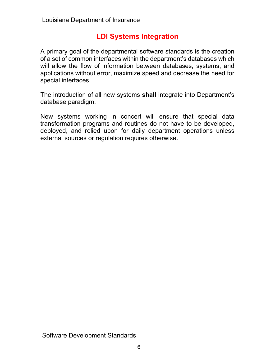## **LDI Systems Integration**

A primary goal of the departmental software standards is the creation of a set of common interfaces within the department's databases which will allow the flow of information between databases, systems, and applications without error, maximize speed and decrease the need for special interfaces.

The introduction of all new systems **shall** integrate into Department's database paradigm.

New systems working in concert will ensure that special data transformation programs and routines do not have to be developed, deployed, and relied upon for daily department operations unless external sources or regulation requires otherwise.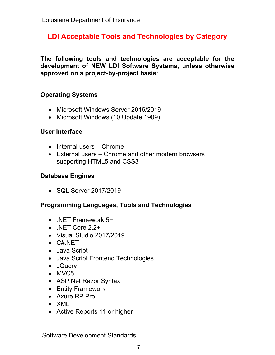## **LDI Acceptable Tools and Technologies by Category**

**The following tools and technologies are acceptable for the development of NEW LDI Software Systems, unless otherwise approved on a project-by-project basis**:

#### **Operating Systems**

- Microsoft Windows Server 2016/2019
- Microsoft Windows (10 Update 1909)

#### **User Interface**

- $\bullet$  Internal users Chrome
- External users Chrome and other modern browsers supporting HTML5 and CSS3

#### **Database Engines**

• SQL Server 2017/2019

#### **Programming Languages, Tools and Technologies**

- .NET Framework 5+
- .NET Core 2.2+
- Visual Studio 2017/2019
- C#.NET
- Java Script
- Java Script Frontend Technologies
- JQuery
- MVC5
- ASP.Net Razor Syntax
- Entity Framework
- Axure RP Pro
- XML
- Active Reports 11 or higher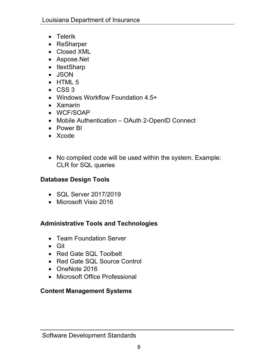- Telerik
- ReSharper
- Closed XML
- Aspose.Net
- ItextSharp
- JSON
- $\bullet$  HTML 5
- $\cdot$  CSS 3
- Windows Workflow Foundation 4.5+
- Xamarin
- WCF/SOAP
- Mobile Authentication OAuth 2-OpenID Connect
- Power BI
- Xcode
- No compiled code will be used within the system. Example: CLR for SQL queries

#### **Database Design Tools**

- SQL Server 2017/2019
- Microsoft Visio 2016

#### **Administrative Tools and Technologies**

- Team Foundation Server
- Git
- Red Gate SQL Toolbelt
- Red Gate SQL Source Control
- OneNote 2016
- Microsoft Office Professional

#### **Content Management Systems**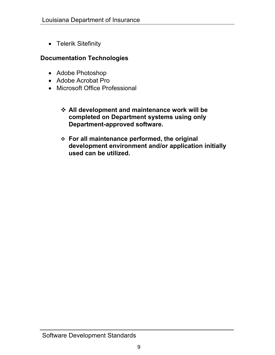• Telerik Sitefinity

#### **Documentation Technologies**

- Adobe Photoshop
- Adobe Acrobat Pro
- Microsoft Office Professional
	- **All development and maintenance work will be completed on Department systems using only Department-approved software.**
	- **For all maintenance performed, the original development environment and/or application initially used can be utilized.**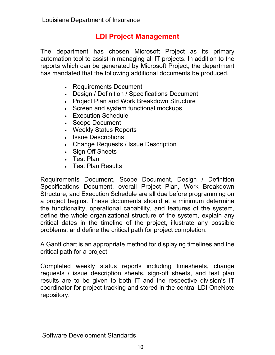## **LDI Project Management**

The department has chosen Microsoft Project as its primary automation tool to assist in managing all IT projects. In addition to the reports which can be generated by Microsoft Project, the department has mandated that the following additional documents be produced.

- Requirements Document
- Design / Definition / Specifications Document
- Project Plan and Work Breakdown Structure
- Screen and system functional mockups
- Execution Schedule
- Scope Document
- Weekly Status Reports
- Issue Descriptions
- Change Requests / Issue Description
- Sign Off Sheets
- Test Plan
- Test Plan Results

Requirements Document, Scope Document, Design / Definition Specifications Document, overall Project Plan, Work Breakdown Structure, and Execution Schedule are all due before programming on a project begins. These documents should at a minimum determine the functionality, operational capability, and features of the system, define the whole organizational structure of the system, explain any critical dates in the timeline of the project, illustrate any possible problems, and define the critical path for project completion.

A Gantt chart is an appropriate method for displaying timelines and the critical path for a project.

Completed weekly status reports including timesheets, change requests / issue description sheets, sign-off sheets, and test plan results are to be given to both IT and the respective division's IT coordinator for project tracking and stored in the central LDI OneNote repository.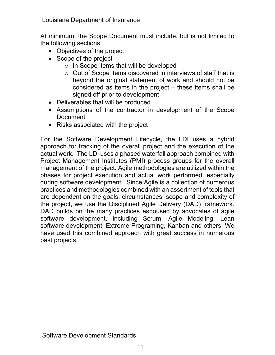At minimum, the Scope Document must include, but is not limited to the following sections:

- Objectives of the project
- Scope of the project
	- o In Scope items that will be developed
	- o Out of Scope items discovered in interviews of staff that is beyond the original statement of work and should not be considered as items in the project – these items shall be signed off prior to development
- Deliverables that will be produced
- Assumptions of the contractor in development of the Scope **Document**
- Risks associated with the project

For the Software Development Lifecycle, the LDI uses a hybrid approach for tracking of the overall project and the execution of the actual work. The LDI uses a phased waterfall approach combined with Project Management Institutes (PMI) process groups for the overall management of the project. Agile methodologies are utilized within the phases for project execution and actual work performed, especially during software development. Since Agile is a collection of numerous practices and methodologies combined with an assortment of tools that are dependent on the goals, circumstances, scope and complexity of the project, we use the Disciplined Agile Delivery (DAD) framework. DAD builds on the many practices espoused by advocates of agile software development, including Scrum, Agile Modeling, Lean software development, Extreme Programing, Kanban and others. We have used this combined approach with great success in numerous past projects.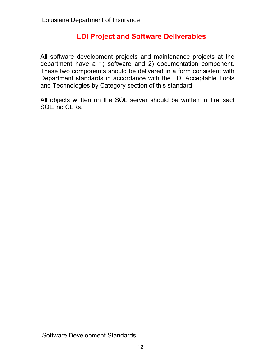## **LDI Project and Software Deliverables**

All software development projects and maintenance projects at the department have a 1) software and 2) documentation component. These two components should be delivered in a form consistent with Department standards in accordance with the LDI Acceptable Tools and Technologies by Category section of this standard.

All objects written on the SQL server should be written in Transact SQL, no CLRs.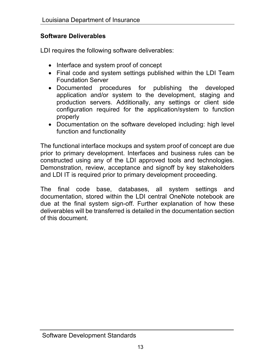#### **Software Deliverables**

LDI requires the following software deliverables:

- Interface and system proof of concept
- Final code and system settings published within the LDI Team Foundation Server
- Documented procedures for publishing the developed application and/or system to the development, staging and production servers. Additionally, any settings or client side configuration required for the application/system to function properly
- Documentation on the software developed including: high level function and functionality

The functional interface mockups and system proof of concept are due prior to primary development. Interfaces and business rules can be constructed using any of the LDI approved tools and technologies. Demonstration, review, acceptance and signoff by key stakeholders and LDI IT is required prior to primary development proceeding.

The final code base, databases, all system settings and documentation, stored within the LDI central OneNote notebook are due at the final system sign-off. Further explanation of how these deliverables will be transferred is detailed in the documentation section of this document.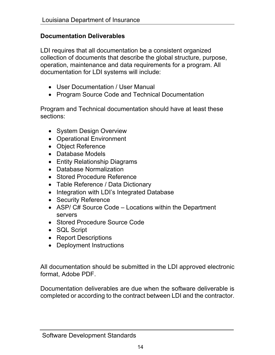#### **Documentation Deliverables**

LDI requires that all documentation be a consistent organized collection of documents that describe the global structure, purpose, operation, maintenance and data requirements for a program. All documentation for LDI systems will include:

- User Documentation / User Manual
- Program Source Code and Technical Documentation

Program and Technical documentation should have at least these sections:

- System Design Overview
- Operational Environment
- Object Reference
- Database Models
- Entity Relationship Diagrams
- Database Normalization
- Stored Procedure Reference
- Table Reference / Data Dictionary
- Integration with LDI's Integrated Database
- Security Reference
- ASP/ C# Source Code Locations within the Department servers
- Stored Procedure Source Code
- SQL Script
- Report Descriptions
- Deployment Instructions

All documentation should be submitted in the LDI approved electronic format, Adobe PDF.

Documentation deliverables are due when the software deliverable is completed or according to the contract between LDI and the contractor.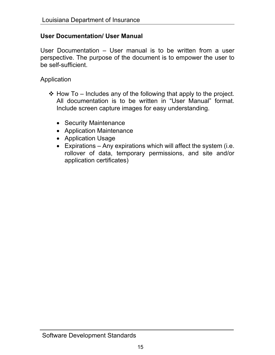#### **User Documentation/ User Manual**

User Documentation – User manual is to be written from a user perspective. The purpose of the document is to empower the user to be self-sufficient.

Application

- $\div$  How To Includes any of the following that apply to the project. All documentation is to be written in "User Manual" format. Include screen capture images for easy understanding.
	- Security Maintenance
	- Application Maintenance
	- Application Usage
	- Expirations Any expirations which will affect the system (i.e. rollover of data, temporary permissions, and site and/or application certificates)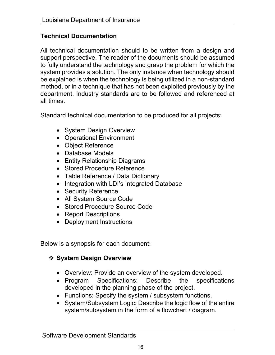#### **Technical Documentation**

All technical documentation should to be written from a design and support perspective. The reader of the documents should be assumed to fully understand the technology and grasp the problem for which the system provides a solution. The only instance when technology should be explained is when the technology is being utilized in a non-standard method, or in a technique that has not been exploited previously by the department. Industry standards are to be followed and referenced at all times.

Standard technical documentation to be produced for all projects:

- System Design Overview
- Operational Environment
- Object Reference
- Database Models
- Entity Relationship Diagrams
- Stored Procedure Reference
- Table Reference / Data Dictionary
- Integration with LDI's Integrated Database
- Security Reference
- All System Source Code
- Stored Procedure Source Code
- Report Descriptions
- Deployment Instructions

Below is a synopsis for each document:

#### **❖ System Design Overview**

- Overview: Provide an overview of the system developed.
- Program Specifications: Describe the specifications developed in the planning phase of the project.
- Functions: Specify the system / subsystem functions.
- System/Subsystem Logic: Describe the logic flow of the entire system/subsystem in the form of a flowchart / diagram.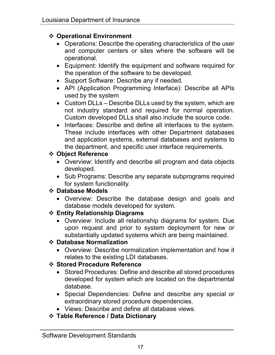#### **Operational Environment**

- Operations: Describe the operating characteristics of the user and computer centers or sites where the software will be operational.
- Equipment: Identify the equipment and software required for the operation of the software to be developed.
- Support Software: Describe any if needed.
- API (Application Programming Interface): Describe all APIs used by the system
- Custom DLLs Describe DLLs used by the system, which are not industry standard and required for normal operation. Custom developed DLLs shall also include the source code.
- Interfaces: Describe and define all interfaces to the system. These include interfaces with other Department databases and application systems, external databases and systems to the department, and specific user interface requirements.

#### **Object Reference**

- Overview: Identify and describe all program and data objects developed.
- Sub Programs: Describe any separate subprograms required for system functionality.

#### **Database Models**

 Overview: Describe the database design and goals and database models developed for system.

#### **Entity Relationship Diagrams**

 Overview: Include all relationship diagrams for system. Due upon request and prior to system deployment for new or substantially updated systems which are being maintained.

#### **Database Normalization**

 Overview: Describe normalization implementation and how it relates to the existing LDI databases.

#### **Stored Procedure Reference**

- Stored Procedures: Define and describe all stored procedures developed for system which are located on the departmental database.
- Special Dependencies: Define and describe any special or extraordinary stored procedure dependencies.
- Views: Describe and define all database views.
- **Table Reference / Data Dictionary**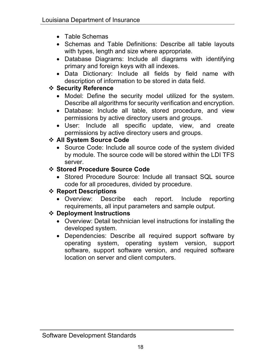- Table Schemas
- Schemas and Table Definitions: Describe all table layouts with types, length and size where appropriate.
- Database Diagrams: Include all diagrams with identifying primary and foreign keys with all indexes.
- Data Dictionary: Include all fields by field name with description of information to be stored in data field.

#### **Security Reference**

- Model: Define the security model utilized for the system. Describe all algorithms for security verification and encryption.
- Database: Include all table, stored procedure, and view permissions by active directory users and groups.
- User: Include all specific update, view, and create permissions by active directory users and groups.

#### **All System Source Code**

 Source Code: Include all source code of the system divided by module. The source code will be stored within the LDI TFS server.

#### **Stored Procedure Source Code**

• Stored Procedure Source: Include all transact SQL source code for all procedures, divided by procedure.

#### **Report Descriptions**

 Overview: Describe each report. Include reporting requirements, all input parameters and sample output.

#### **Deployment Instructions**

- Overview: Detail technician level instructions for installing the developed system.
- Dependencies: Describe all required support software by operating system, operating system version, support software, support software version, and required software location on server and client computers.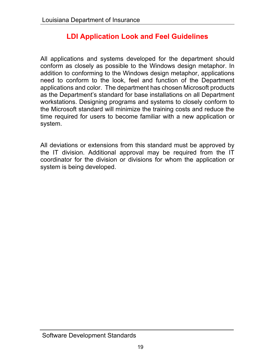## **LDI Application Look and Feel Guidelines**

All applications and systems developed for the department should conform as closely as possible to the Windows design metaphor. In addition to conforming to the Windows design metaphor, applications need to conform to the look, feel and function of the Department applications and color. The department has chosen Microsoft products as the Department's standard for base installations on all Department workstations. Designing programs and systems to closely conform to the Microsoft standard will minimize the training costs and reduce the time required for users to become familiar with a new application or system.

All deviations or extensions from this standard must be approved by the IT division. Additional approval may be required from the IT coordinator for the division or divisions for whom the application or system is being developed.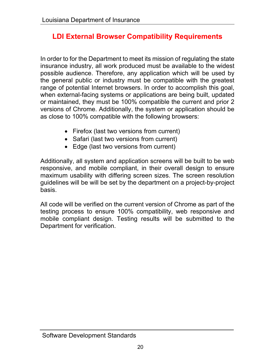## **LDI External Browser Compatibility Requirements**

In order to for the Department to meet its mission of regulating the state insurance industry, all work produced must be available to the widest possible audience. Therefore, any application which will be used by the general public or industry must be compatible with the greatest range of potential Internet browsers. In order to accomplish this goal, when external-facing systems or applications are being built, updated or maintained, they must be 100% compatible the current and prior 2 versions of Chrome. Additionally, the system or application should be as close to 100% compatible with the following browsers:

- Firefox (last two versions from current)
- Safari (last two versions from current)
- Edge (last two versions from current)

Additionally, all system and application screens will be built to be web responsive, and mobile compliant, in their overall design to ensure maximum usability with differing screen sizes. The screen resolution guidelines will be will be set by the department on a project-by-project basis.

All code will be verified on the current version of Chrome as part of the testing process to ensure 100% compatibility, web responsive and mobile compliant design. Testing results will be submitted to the Department for verification.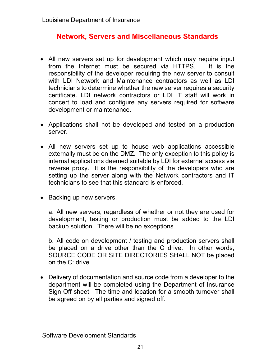## **Network, Servers and Miscellaneous Standards**

- All new servers set up for development which may require input from the Internet must be secured via HTTPS. It is the responsibility of the developer requiring the new server to consult with LDI Network and Maintenance contractors as well as LDI technicians to determine whether the new server requires a security certificate. LDI network contractors or LDI IT staff will work in concert to load and configure any servers required for software development or maintenance.
- Applications shall not be developed and tested on a production server.
- All new servers set up to house web applications accessible externally must be on the DMZ. The only exception to this policy is internal applications deemed suitable by LDI for external access via reverse proxy. It is the responsibility of the developers who are setting up the server along with the Network contractors and IT technicians to see that this standard is enforced.
- Backing up new servers.

a. All new servers, regardless of whether or not they are used for development, testing or production must be added to the LDI backup solution. There will be no exceptions.

b. All code on development / testing and production servers shall be placed on a drive other than the C drive. In other words, SOURCE CODE OR SITE DIRECTORIES SHALL NOT be placed on the C: drive.

 Delivery of documentation and source code from a developer to the department will be completed using the Department of Insurance Sign Off sheet. The time and location for a smooth turnover shall be agreed on by all parties and signed off.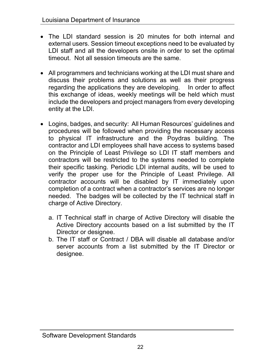- The LDI standard session is 20 minutes for both internal and external users. Session timeout exceptions need to be evaluated by LDI staff and all the developers onsite in order to set the optimal timeout. Not all session timeouts are the same.
- All programmers and technicians working at the LDI must share and discuss their problems and solutions as well as their progress regarding the applications they are developing. In order to affect this exchange of ideas, weekly meetings will be held which must include the developers and project managers from every developing entity at the LDI.
- Logins, badges, and security: All Human Resources' guidelines and procedures will be followed when providing the necessary access to physical IT infrastructure and the Poydras building. The contractor and LDI employees shall have access to systems based on the Principle of Least Privilege so LDI IT staff members and contractors will be restricted to the systems needed to complete their specific tasking. Periodic LDI internal audits, will be used to verify the proper use for the Principle of Least Privilege. All contractor accounts will be disabled by IT immediately upon completion of a contract when a contractor's services are no longer needed. The badges will be collected by the IT technical staff in charge of Active Directory.
	- a. IT Technical staff in charge of Active Directory will disable the Active Directory accounts based on a list submitted by the IT Director or designee.
	- b. The IT staff or Contract / DBA will disable all database and/or server accounts from a list submitted by the IT Director or designee.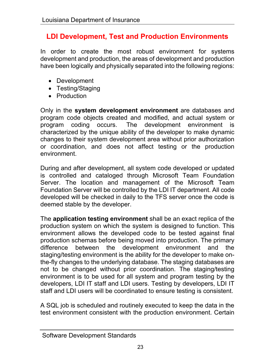## **LDI Development, Test and Production Environments**

In order to create the most robust environment for systems development and production, the areas of development and production have been logically and physically separated into the following regions:

- Development
- Testing/Staging
- Production

Only in the **system development environment** are databases and program code objects created and modified, and actual system or program coding occurs. The development environment is characterized by the unique ability of the developer to make dynamic changes to their system development area without prior authorization or coordination, and does not affect testing or the production environment.

During and after development, all system code developed or updated is controlled and cataloged through Microsoft Team Foundation Server. The location and management of the Microsoft Team Foundation Server will be controlled by the LDI IT department. All code developed will be checked in daily to the TFS server once the code is deemed stable by the developer.

The **application testing environment** shall be an exact replica of the production system on which the system is designed to function. This environment allows the developed code to be tested against final production schemas before being moved into production. The primary difference between the development environment and the staging/testing environment is the ability for the developer to make onthe-fly changes to the underlying database. The staging databases are not to be changed without prior coordination. The staging/testing environment is to be used for all system and program testing by the developers, LDI IT staff and LDI users. Testing by developers, LDI IT staff and LDI users will be coordinated to ensure testing is consistent.

A SQL job is scheduled and routinely executed to keep the data in the test environment consistent with the production environment. Certain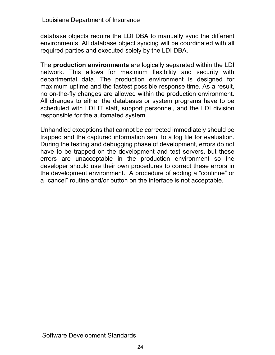database objects require the LDI DBA to manually sync the different environments. All database object syncing will be coordinated with all required parties and executed solely by the LDI DBA.

The **production environments** are logically separated within the LDI network. This allows for maximum flexibility and security with departmental data. The production environment is designed for maximum uptime and the fastest possible response time. As a result, no on-the-fly changes are allowed within the production environment. All changes to either the databases or system programs have to be scheduled with LDI IT staff, support personnel, and the LDI division responsible for the automated system.

Unhandled exceptions that cannot be corrected immediately should be trapped and the captured information sent to a log file for evaluation. During the testing and debugging phase of development, errors do not have to be trapped on the development and test servers, but these errors are unacceptable in the production environment so the developer should use their own procedures to correct these errors in the development environment. A procedure of adding a "continue" or a "cancel" routine and/or button on the interface is not acceptable.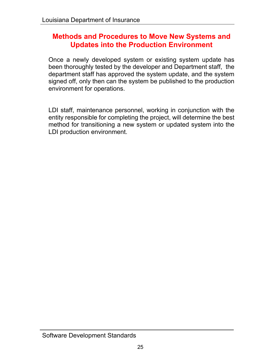#### **Methods and Procedures to Move New Systems and Updates into the Production Environment**

Once a newly developed system or existing system update has been thoroughly tested by the developer and Department staff, the department staff has approved the system update, and the system signed off, only then can the system be published to the production environment for operations.

LDI staff, maintenance personnel, working in conjunction with the entity responsible for completing the project, will determine the best method for transitioning a new system or updated system into the LDI production environment.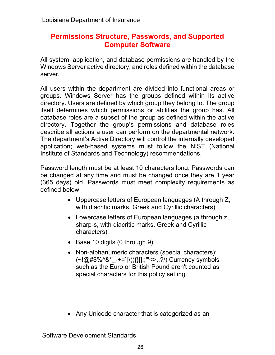#### **Permissions Structure, Passwords, and Supported Computer Software**

All system, application, and database permissions are handled by the Windows Server active directory, and roles defined within the database server.

All users within the department are divided into functional areas or groups. Windows Server has the groups defined within its active directory. Users are defined by which group they belong to. The group itself determines which permissions or abilities the group has. All database roles are a subset of the group as defined within the active directory. Together the group's permissions and database roles describe all actions a user can perform on the departmental network. The department's Active Directory will control the internally developed application; web-based systems must follow the NIST (National Institute of Standards and Technology) recommendations.

Password length must be at least 10 characters long. Passwords can be changed at any time and must be changed once they are 1 year (365 days) old. Passwords must meet complexity requirements as defined below:

- Uppercase letters of European languages (A through Z, with diacritic marks, Greek and Cyrillic characters)
- Lowercase letters of European languages (a through z, sharp-s, with diacritic marks, Greek and Cyrillic characters)
- Base 10 digits (0 through 9)
- Non-alphanumeric characters (special characters):  $(-1)$   $\omega$   $\#$ \$%^&\* -+=`|\(){}[]:;"'<>,.?/) Currency symbols such as the Euro or British Pound aren't counted as special characters for this policy setting.
- Any Unicode character that is categorized as an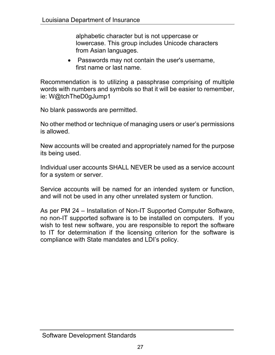alphabetic character but is not uppercase or lowercase. This group includes Unicode characters from Asian languages.

• Passwords may not contain the user's username, first name or last name.

Recommendation is to utilizing a passphrase comprising of multiple words with numbers and symbols so that it will be easier to remember, ie: W@tchTheD0gJump1

No blank passwords are permitted.

No other method or technique of managing users or user's permissions is allowed.

New accounts will be created and appropriately named for the purpose its being used.

Individual user accounts SHALL NEVER be used as a service account for a system or server.

Service accounts will be named for an intended system or function, and will not be used in any other unrelated system or function.

As per PM 24 – Installation of Non-IT Supported Computer Software, no non-IT supported software is to be installed on computers. If you wish to test new software, you are responsible to report the software to IT for determination if the licensing criterion for the software is compliance with State mandates and LDI's policy.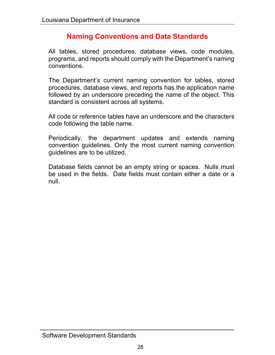## **Naming Conventions and Data Standards**

All tables, stored procedures, database views, code modules, programs, and reports should comply with the Department's naming conventions.

The Department's current naming convention for tables, stored procedures, database views, and reports has the application name followed by an underscore preceding the name of the object. This standard is consistent across all systems.

All code or reference tables have an underscore and the characters code following the table name.

Periodically, the department updates and extends naming convention guidelines. Only the most current naming convention guidelines are to be utilized.

Database fields cannot be an empty string or spaces. Nulls must be used in the fields. Date fields must contain either a date or a null.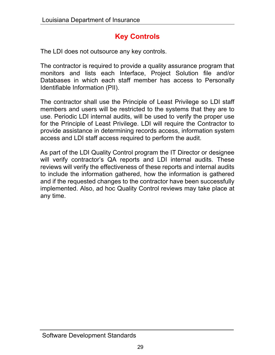## **Key Controls**

The LDI does not outsource any key controls.

The contractor is required to provide a quality assurance program that monitors and lists each Interface, Project Solution file and/or Databases in which each staff member has access to Personally Identifiable Information (PII).

The contractor shall use the Principle of Least Privilege so LDI staff members and users will be restricted to the systems that they are to use. Periodic LDI internal audits, will be used to verify the proper use for the Principle of Least Privilege. LDI will require the Contractor to provide assistance in determining records access, information system access and LDI staff access required to perform the audit.

As part of the LDI Quality Control program the IT Director or designee will verify contractor's QA reports and LDI internal audits. These reviews will verify the effectiveness of these reports and internal audits to include the information gathered, how the information is gathered and if the requested changes to the contractor have been successfully implemented. Also, ad hoc Quality Control reviews may take place at any time.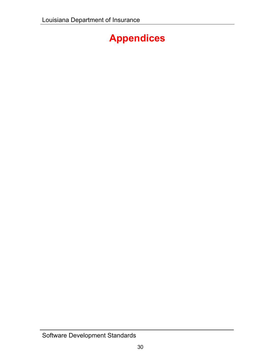## **Appendices**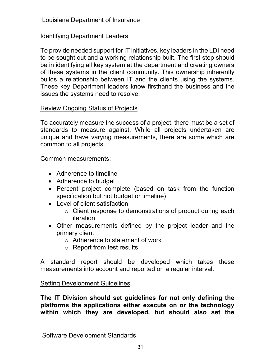#### Identifying Department Leaders

To provide needed support for IT initiatives, key leaders in the LDI need to be sought out and a working relationship built. The first step should be in identifying all key system at the department and creating owners of these systems in the client community. This ownership inherently builds a relationship between IT and the clients using the systems. These key Department leaders know firsthand the business and the issues the systems need to resolve.

#### Review Ongoing Status of Projects

To accurately measure the success of a project, there must be a set of standards to measure against. While all projects undertaken are unique and have varying measurements, there are some which are common to all projects.

Common measurements:

- Adherence to timeline
- Adherence to budget
- Percent project complete (based on task from the function specification but not budget or timeline)
- Level of client satisfaction
	- o Client response to demonstrations of product during each iteration
- Other measurements defined by the project leader and the primary client
	- o Adherence to statement of work
	- o Report from test results

A standard report should be developed which takes these measurements into account and reported on a regular interval.

#### Setting Development Guidelines

**The IT Division should set guidelines for not only defining the platforms the applications either execute on or the technology within which they are developed, but should also set the**